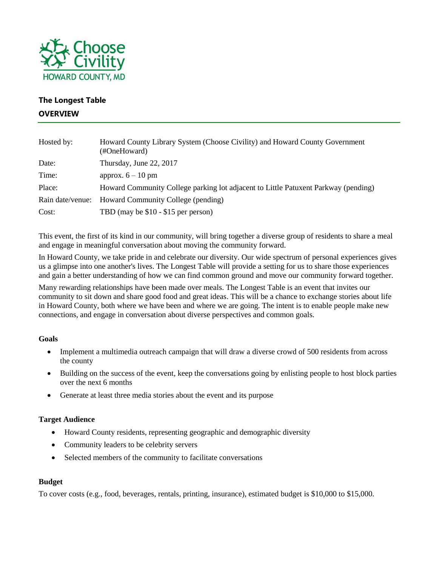

# **The Longest Table OVERVIEW**

| Hosted by:       | Howard County Library System (Choose Civility) and Howard County Government<br>(#OneHoward) |
|------------------|---------------------------------------------------------------------------------------------|
| Date:            | Thursday, June 22, 2017                                                                     |
| Time:            | approx. $6 - 10$ pm                                                                         |
| Place:           | Howard Community College parking lot adjacent to Little Patuxent Parkway (pending)          |
| Rain date/venue: | Howard Community College (pending)                                                          |
| Cost:            | TBD (may be \$10 - \$15 per person)                                                         |

This event, the first of its kind in our community, will bring together a diverse group of residents to share a meal and engage in meaningful conversation about moving the community forward.

In Howard County, we take pride in and celebrate our diversity. Our wide spectrum of personal experiences gives us a glimpse into one another's lives. The Longest Table will provide a setting for us to share those experiences and gain a better understanding of how we can find common ground and move our community forward together.

Many rewarding relationships have been made over meals. The Longest Table is an event that invites our community to sit down and share good food and great ideas. This will be a chance to exchange stories about life in Howard County, both where we have been and where we are going. The intent is to enable people make new connections, and engage in conversation about diverse perspectives and common goals.

#### **Goals**

- Implement a multimedia outreach campaign that will draw a diverse crowd of 500 residents from across the county
- Building on the success of the event, keep the conversations going by enlisting people to host block parties over the next 6 months
- Generate at least three media stories about the event and its purpose

## **Target Audience**

- Howard County residents, representing geographic and demographic diversity
- Community leaders to be celebrity servers
- Selected members of the community to facilitate conversations

#### **Budget**

To cover costs (e.g., food, beverages, rentals, printing, insurance), estimated budget is \$10,000 to \$15,000.